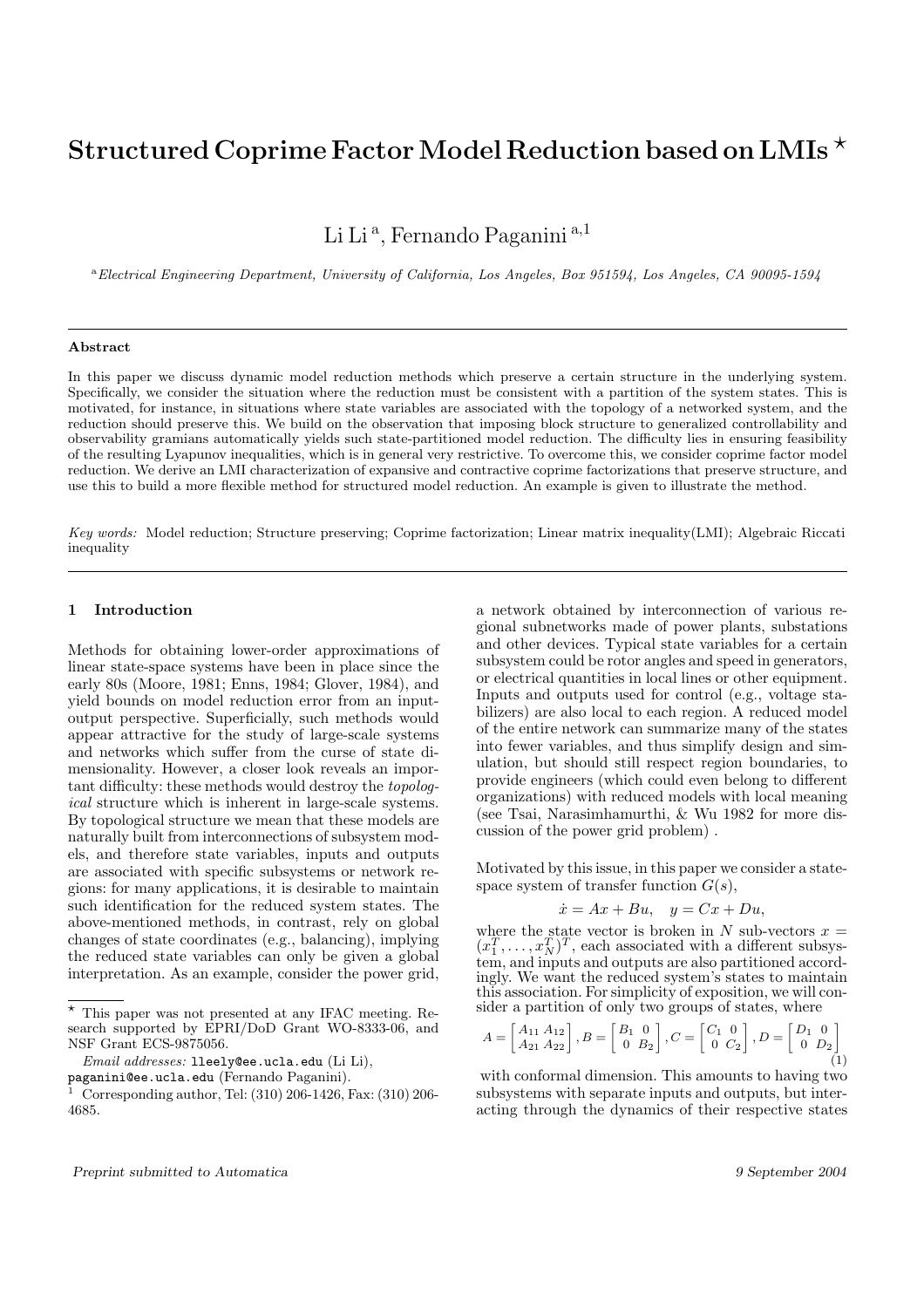# Structured Coprime Factor Model Reduction based on LMIs  $^{\star}$

Li Li<sup>a</sup>, Fernando Paganini<sup>a,1</sup>

<sup>a</sup>Electrical Engineering Department, University of California, Los Angeles, Box 951594, Los Angeles, CA 90095-1594

#### Abstract

In this paper we discuss dynamic model reduction methods which preserve a certain structure in the underlying system. Specifically, we consider the situation where the reduction must be consistent with a partition of the system states. This is motivated, for instance, in situations where state variables are associated with the topology of a networked system, and the reduction should preserve this. We build on the observation that imposing block structure to generalized controllability and observability gramians automatically yields such state-partitioned model reduction. The difficulty lies in ensuring feasibility of the resulting Lyapunov inequalities, which is in general very restrictive. To overcome this, we consider coprime factor model reduction. We derive an LMI characterization of expansive and contractive coprime factorizations that preserve structure, and use this to build a more flexible method for structured model reduction. An example is given to illustrate the method.

Key words: Model reduction; Structure preserving; Coprime factorization; Linear matrix inequality(LMI); Algebraic Riccati inequality

## 1 Introduction

Methods for obtaining lower-order approximations of linear state-space systems have been in place since the early 80s (Moore, 1981; Enns, 1984; Glover, 1984), and yield bounds on model reduction error from an inputoutput perspective. Superficially, such methods would appear attractive for the study of large-scale systems and networks which suffer from the curse of state dimensionality. However, a closer look reveals an important difficulty: these methods would destroy the topological structure which is inherent in large-scale systems. By topological structure we mean that these models are naturally built from interconnections of subsystem models, and therefore state variables, inputs and outputs are associated with specific subsystems or network regions: for many applications, it is desirable to maintain such identification for the reduced system states. The above-mentioned methods, in contrast, rely on global changes of state coordinates (e.g., balancing), implying the reduced state variables can only be given a global interpretation. As an example, consider the power grid,

paganini@ee.ucla.edu (Fernando Paganini).

a network obtained by interconnection of various regional subnetworks made of power plants, substations and other devices. Typical state variables for a certain subsystem could be rotor angles and speed in generators, or electrical quantities in local lines or other equipment. Inputs and outputs used for control (e.g., voltage stabilizers) are also local to each region. A reduced model of the entire network can summarize many of the states into fewer variables, and thus simplify design and simulation, but should still respect region boundaries, to provide engineers (which could even belong to different organizations) with reduced models with local meaning (see Tsai, Narasimhamurthi, & Wu 1982 for more discussion of the power grid problem) .

Motivated by this issue, in this paper we consider a statespace system of transfer function  $G(s)$ ,

$$
\dot{x} = Ax + Bu, \quad y = Cx + Du,
$$

where the state vector is broken in N sub-vectors  $x =$  $(x_1^T, \ldots, x_N^T)^T$ , each associated with a different subsystem, and inputs and outputs are also partitioned accordingly. We want the reduced system's states to maintain this association. For simplicity of exposition, we will consider a partition of only two groups of states, where · ·  $\overline{a}$ ·  $\overline{a}$ ·  $\overline{a}$ 

$$
A = \begin{bmatrix} A_{11} & A_{12} \\ A_{21} & A_{22} \end{bmatrix}, B = \begin{bmatrix} B_1 & 0 \\ 0 & B_2 \end{bmatrix}, C = \begin{bmatrix} C_1 & 0 \\ 0 & C_2 \end{bmatrix}, D = \begin{bmatrix} D_1 & 0 \\ 0 & D_2 \end{bmatrix}
$$
(1)

with conformal dimension. This amounts to having two subsystems with separate inputs and outputs, but interacting through the dynamics of their respective states

 $*$  This paper was not presented at any IFAC meeting. Research supported by EPRI/DoD Grant WO-8333-06, and NSF Grant ECS-9875056.

Email addresses: lleely@ee.ucla.edu (Li Li),

<sup>&</sup>lt;sup>1</sup> Corresponding author, Tel:  $(310)$  206-1426, Fax:  $(310)$  206-4685.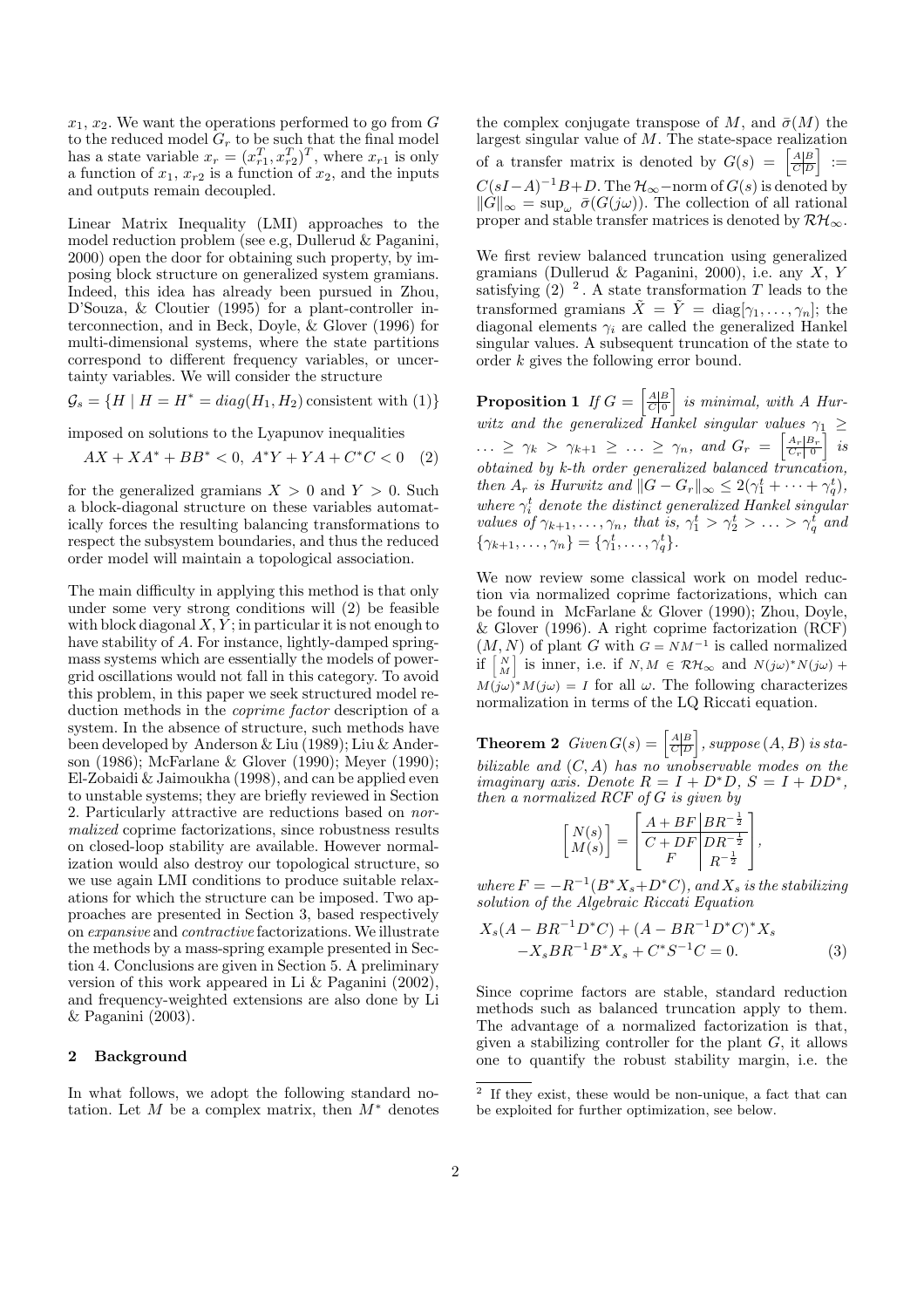$x_1, x_2$ . We want the operations performed to go from G to the reduced model  $G_r$  to be such that the final model has a state variable  $x_r = (x_{r1}^T, x_{r2}^T)^T$ , where  $x_{r1}$  is only a function of  $x_1, x_{r2}$  is a function of  $x_2$ , and the inputs and outputs remain decoupled.

Linear Matrix Inequality (LMI) approaches to the model reduction problem (see e.g, Dullerud & Paganini, 2000) open the door for obtaining such property, by imposing block structure on generalized system gramians. Indeed, this idea has already been pursued in Zhou, D'Souza, & Cloutier (1995) for a plant-controller interconnection, and in Beck, Doyle, & Glover (1996) for multi-dimensional systems, where the state partitions correspond to different frequency variables, or uncertainty variables. We will consider the structure

 $\mathcal{G}_s = \{H \mid H = H^* = diag(H_1, H_2)$  consistent with (1)}

imposed on solutions to the Lyapunov inequalities

$$
AX + XA^* + BB^* < 0, \ A^*Y + YA + C^*C < 0 \quad (2)
$$

for the generalized gramians  $X > 0$  and  $Y > 0$ . Such a block-diagonal structure on these variables automatically forces the resulting balancing transformations to respect the subsystem boundaries, and thus the reduced order model will maintain a topological association.

The main difficulty in applying this method is that only under some very strong conditions will (2) be feasible with block diagonal  $X, Y$ ; in particular it is not enough to have stability of A. For instance, lightly-damped springmass systems which are essentially the models of powergrid oscillations would not fall in this category. To avoid this problem, in this paper we seek structured model reduction methods in the coprime factor description of a system. In the absence of structure, such methods have been developed by Anderson & Liu (1989); Liu & Anderson (1986); McFarlane & Glover (1990); Meyer (1990); El-Zobaidi & Jaimoukha (1998), and can be applied even to unstable systems; they are briefly reviewed in Section 2. Particularly attractive are reductions based on normalized coprime factorizations, since robustness results on closed-loop stability are available. However normalization would also destroy our topological structure, so we use again LMI conditions to produce suitable relaxations for which the structure can be imposed. Two approaches are presented in Section 3, based respectively on expansive and contractive factorizations. We illustrate the methods by a mass-spring example presented in Section 4. Conclusions are given in Section 5. A preliminary version of this work appeared in Li & Paganini (2002), and frequency-weighted extensions are also done by Li & Paganini (2003).

## 2 Background

In what follows, we adopt the following standard notation. Let  $M$  be a complex matrix, then  $M^*$  denotes

the complex conjugate transpose of M, and  $\bar{\sigma}(M)$  the largest singular value of  $M$ . The state-space realization largest singular value of *M*. The state-space realiz<br>of a transfer matrix is denoted by  $G(s) = \begin{bmatrix} A \mid B \\ C \mid D \end{bmatrix}$  $:=$  $C(sI-A)^{-1}B+D$ . The  $\mathcal{H}_{\infty}$ -norm of  $G(s)$  is denoted by  $||G||_{\infty} = \sup_{\omega} \bar{\sigma}(G(j\omega)).$  The collection of all rational proper and stable transfer matrices is denoted by  $\mathcal{RH}_{\infty}$ .

We first review balanced truncation using generalized gramians (Dullerud & Paganini, 2000), i.e. any X, Y satisfying  $(2)$  <sup>2</sup>. A state transformation T leads to the transformed gramians  $\tilde{X} = \tilde{Y} = \text{diag}[\gamma_1, \dots, \gamma_n];$  the diagonal elements  $\gamma_i$  are called the generalized Hankel singular values. A subsequent truncation of the state to order k gives the following error bound.

Proposition 1 If  $G =$  $\begin{bmatrix} A & B \\ \hline C & 0 \end{bmatrix}$ i is minimal, with A Hurwitz and the generalized Hankel singular values  $\gamma_1 \geq$  $\ldots \geq \gamma_k > \gamma_{k+1} \geq \ldots \geq \gamma_n$ , and  $G_r = \left| \frac{A_r |B_r|}{C_r |0|} \right|$  is obtained by k-th order generalized balanced truncation, then  $A_r$  is Hurwitz and  $||G - G_r||_{\infty} \leq 2(\gamma_1^t + \cdots + \gamma_q^t)$ , where  $\gamma_i^t$  denote the distinct generalized Hankel singular values of  $\gamma_{k+1}, \ldots, \gamma_n$ , that is,  $\gamma_1^t > \gamma_2^t > \ldots > \gamma_q^t$  and  $\{\gamma_{k+1}, \ldots, \gamma_n\} = \{\gamma_1^t, \ldots, \gamma_q^t\}.$ 

We now review some classical work on model reduction via normalized coprime factorizations, which can be found in McFarlane & Glover (1990); Zhou, Doyle, & Glover (1996). A right coprime factorization (RCF)  $(M, N)$  of plant G with  $G = NM^{-1}$  is called normalized if  $\begin{bmatrix} N \\ M \end{bmatrix}$  is inner, i.e. if  $N, M \in \mathcal{RH}_{\infty}$  and  $N(j\omega)^* N(j\omega)$  +  $M(j\omega)^* M(j\omega) = I$  for all  $\omega$ . The following characterizes normalization in terms of the LQ Riccati equation.

**Theorem 2** Given  $G(s) = \begin{bmatrix} A|B \\ \overline{C|D} \end{bmatrix}$ i , suppose  $(A, B)$  is stabilizable and  $(C, A)$  has no unobservable modes on the imaginary axis. Denote  $R = I + D^*D$ ,  $S = I + DD^*$ , then a normalized  $RCF$  of  $G$  is given by  $\overline{a}$ 

$$
\begin{bmatrix} N(s) \\ M(s) \end{bmatrix} = \begin{bmatrix} \frac{A + BF}{C + DF} \frac{BR^{-\frac{1}{2}}}{DR^{-\frac{1}{2}}} \\ F & R^{-\frac{1}{2}} \end{bmatrix},
$$

where  $F = -R^{-1}(B^*X_s + D^*C)$ , and  $X_s$  is the stabilizing solution of the Algebraic Riccati Equation

$$
X_s(A - BR^{-1}D^*C) + (A - BR^{-1}D^*C)^*X_s
$$
  

$$
-X_sBR^{-1}B^*X_s + C^*S^{-1}C = 0.
$$
 (3)

Since coprime factors are stable, standard reduction methods such as balanced truncation apply to them. The advantage of a normalized factorization is that, given a stabilizing controller for the plant  $G$ , it allows one to quantify the robust stability margin, i.e. the

<sup>2</sup> If they exist, these would be non-unique, a fact that can be exploited for further optimization, see below.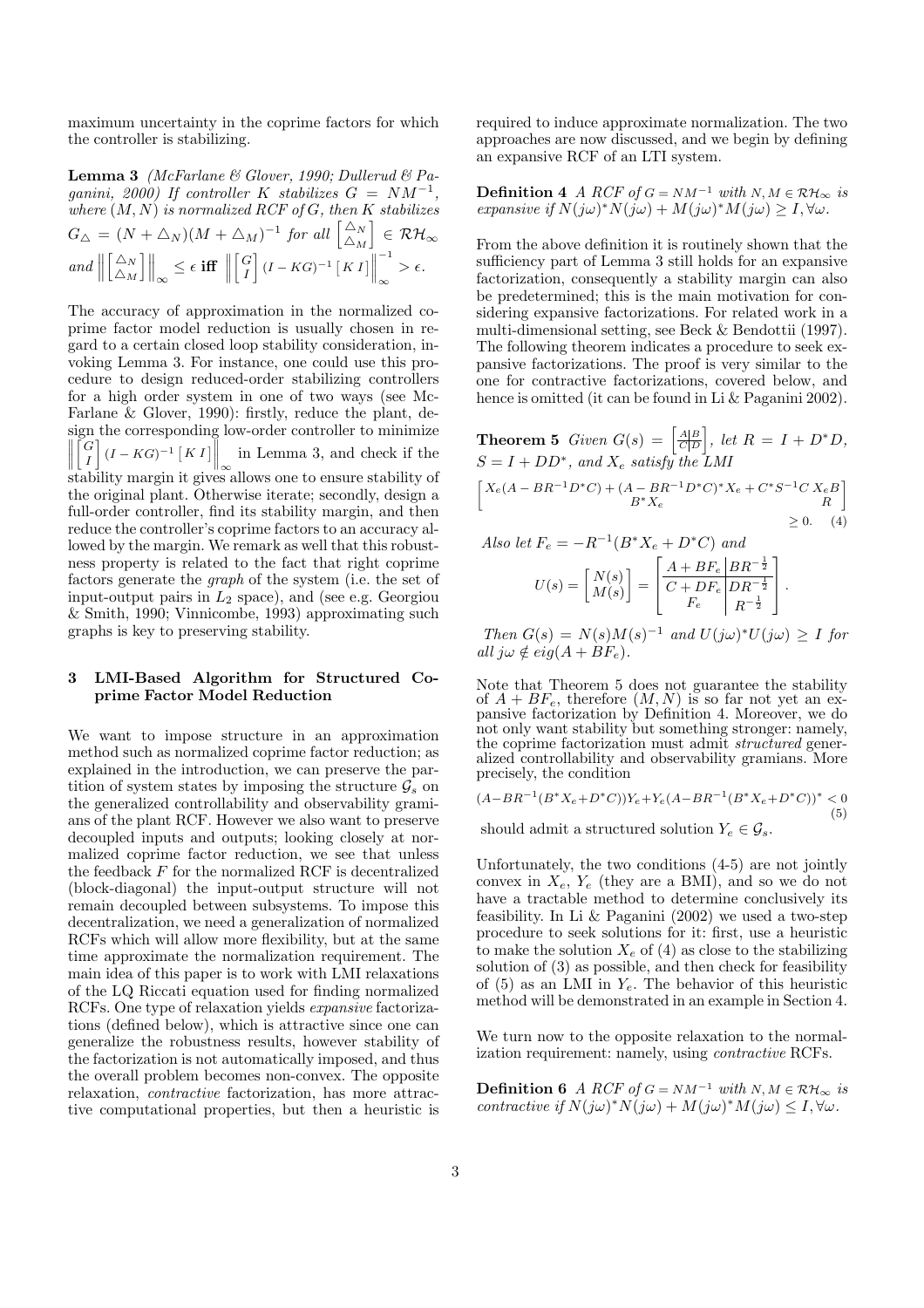maximum uncertainty in the coprime factors for which the controller is stabilizing.

Lemma 3 (McFarlane & Glover, 1990; Dullerud & Paganini, 2000) If controller K stabilizes  $G = NM^{-1}$ , where  $(M, N)$  is normalized RCF of G, then K stabilizes where  $(M, N)$  is normalized KCF of G, then  $G_{\triangle} = (N + \triangle_N)(M + \triangle_M)^{-1}$  for all  $\begin{bmatrix} \triangle_N \\ \triangle_N \end{bmatrix}$  $\triangle_M$ i<br>T  $\in$  RH $_{\infty}$ and  $\parallel$  $\bigcap_{n=1}^{\infty}$  $\triangle_M$  $\left|\left|\right|_{\infty}\right|\leq\epsilon$  iff  $\begin{array}{c} \parallel \\ \parallel \end{array}$  $\lceil G \rceil$ I  $\overline{a}$  $(I - KG)^{-1} [KI]$ −1  $\infty$  > ε.

The accuracy of approximation in the normalized coprime factor model reduction is usually chosen in regard to a certain closed loop stability consideration, invoking Lemma 3. For instance, one could use this procedure to design reduced-order stabilizing controllers for a high order system in one of two ways (see Mc-Farlane & Glover, 1990): firstly, reduce the plant, design the corresponding low-order controller to minimize  $\Big\| \Big[ \begin{matrix} G \\ I \end{matrix}$  $\begin{bmatrix} G \\ I \end{bmatrix} (I - KG)^{-1} [KI] \Big\|_{\infty}$  in Lemma 3, and check if the stability margin it gives allows one to ensure stability of the original plant. Otherwise iterate; secondly, design a full-order controller, find its stability margin, and then reduce the controller's coprime factors to an accuracy allowed by the margin. We remark as well that this robustness property is related to the fact that right coprime factors generate the graph of the system (i.e. the set of input-output pairs in  $L_2$  space), and (see e.g. Georgiou & Smith, 1990; Vinnicombe, 1993) approximating such graphs is key to preserving stability.

## 3 LMI-Based Algorithm for Structured Coprime Factor Model Reduction

We want to impose structure in an approximation method such as normalized coprime factor reduction; as explained in the introduction, we can preserve the partition of system states by imposing the structure  $\mathcal{G}_s$  on the generalized controllability and observability gramians of the plant RCF. However we also want to preserve decoupled inputs and outputs; looking closely at normalized coprime factor reduction, we see that unless the feedback F for the normalized RCF is decentralized (block-diagonal) the input-output structure will not remain decoupled between subsystems. To impose this decentralization, we need a generalization of normalized RCFs which will allow more flexibility, but at the same time approximate the normalization requirement. The main idea of this paper is to work with LMI relaxations of the LQ Riccati equation used for finding normalized RCFs. One type of relaxation yields expansive factorizations (defined below), which is attractive since one can generalize the robustness results, however stability of the factorization is not automatically imposed, and thus the overall problem becomes non-convex. The opposite relaxation, contractive factorization, has more attractive computational properties, but then a heuristic is

required to induce approximate normalization. The two approaches are now discussed, and we begin by defining an expansive RCF of an LTI system.

**Definition 4** A RCF of  $G = NM^{-1}$  with  $N, M \in \mathcal{RH}_{\infty}$  is expansive if  $N(j\omega)^* N(j\omega) + M(j\omega)^* M(j\omega) \geq I, \forall \omega$ .

From the above definition it is routinely shown that the sufficiency part of Lemma 3 still holds for an expansive factorization, consequently a stability margin can also be predetermined; this is the main motivation for considering expansive factorizations. For related work in a multi-dimensional setting, see Beck & Bendottii (1997). The following theorem indicates a procedure to seek expansive factorizations. The proof is very similar to the one for contractive factorizations, covered below, and hence is omitted (it can be found in Li & Paganini 2002).

**Theorem 5** Given  $G(s) = \begin{bmatrix} A \mid B \\ \hline C \mid D \end{bmatrix}$ i , let  $R = I + D^*D$ ,  $S = I + DD^*$ , and  $X_e$  satisfy the LMI

$$
\begin{bmatrix} X_e(A - BR^{-1}D^*C) + (A - BR^{-1}D^*C)^*X_e + C^*S^{-1}C X_eB \\ B^*X_e & R \end{bmatrix} \ge 0.
$$
 (4)

Also let 
$$
F_e = -R^{-1}(B^*X_e + D^*C)
$$
 and  
\n
$$
U(s) = \begin{bmatrix} N(s) \\ M(s) \end{bmatrix} = \begin{bmatrix} \frac{A + BF_e}{C + DF_e} \frac{BR^{-\frac{1}{2}}}{DR^{-\frac{1}{2}}} \\ F_e \end{bmatrix}.
$$

Then  $G(s) = N(s)M(s)^{-1}$  and  $U(j\omega)^*U(j\omega) \geq I$  for all  $j\omega \notin eig(A + BF_e).$ 

Note that Theorem 5 does not guarantee the stability of  $A + BF_e$ , therefore  $(M, N)$  is so far not yet an expansive factorization by Definition 4. Moreover, we do not only want stability but something stronger: namely, the coprime factorization must admit structured generalized controllability and observability gramians. More precisely, the condition

$$
(A - BR^{-1}(B^*X_e + D^*C))Y_e + Y_e(A - BR^{-1}(B^*X_e + D^*C))^* < 0
$$
\n(5)

should admit a structured solution  $Y_e \in \mathcal{G}_s$ .

Unfortunately, the two conditions (4-5) are not jointly convex in  $X_e$ ,  $Y_e$  (they are a BMI), and so we do not have a tractable method to determine conclusively its feasibility. In Li & Paganini (2002) we used a two-step procedure to seek solutions for it: first, use a heuristic to make the solution  $X_e$  of (4) as close to the stabilizing solution of (3) as possible, and then check for feasibility of (5) as an LMI in  $Y_e$ . The behavior of this heuristic method will be demonstrated in an example in Section 4.

We turn now to the opposite relaxation to the normalization requirement: namely, using contractive RCFs.

**Definition 6** A RCF of  $G = NM^{-1}$  with  $N, M \in \mathcal{RH}_{\infty}$  is contractive if  $N(j\omega)^* N(j\omega) + M(j\omega)^* M(j\omega) \leq I, \forall \omega$ .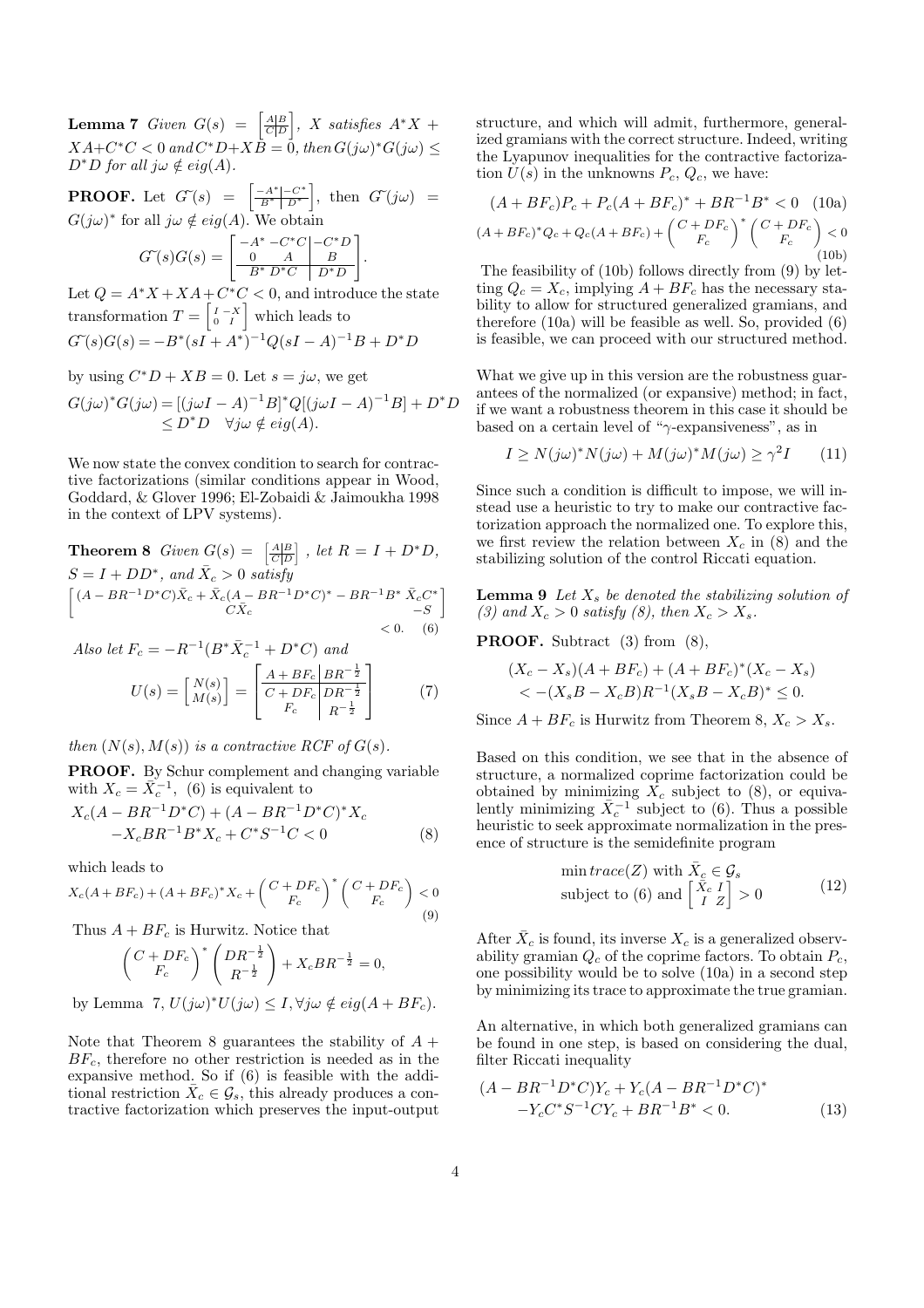**Lemma 7** Given  $G(s) = \begin{bmatrix} A|B \\ \overline{C|D} \end{bmatrix}$ i  $, X \; satisfies \; A^*X +$  $XA+C^*C< 0$  and  $C^*D+X\bar{B}=\bar{0}$ , then  $G(j\omega)^*G(j\omega)\leq$  $D^*D$  for all  $j\omega \notin eig(A)$ .

**PROOF.** Let  $G^{\tilde{}}(s) = \begin{bmatrix} \frac{-A^*}{B^*} & \frac{-C^*}{D^*} \end{bmatrix}$ i , then  $G(j\omega)$  =

$$
G(j\omega)^{*} \text{ for all } j\omega \notin eig(A). \text{ We obtain}
$$

$$
G^{*}(s)G(s) = \begin{bmatrix} -A^{*} - C^{*}C & -C^{*}D \\ 0 & A & B \\ \hline B^{*} D^{*}C & D^{*}D \end{bmatrix}.
$$

Let  $Q = A^*X + XA + C^*C < 0$ , and introduce the state transformation  $T = \begin{bmatrix} I & -X \\ 0 & I \end{bmatrix}$  which leads to  $G^*(s)G(s) = -B^*(sI + A^*)^{-1}Q(sI - A)^{-1}B + D^*D$ 

by using  $C^*D+XB=0$ . Let  $s=j\omega$ , we get  $G(j\omega)^* G(j\omega) = [(j\omega I - A)^{-1}B]^* Q[(j\omega I - A)^{-1}B] + D^* D$  $\leq D^*D \quad \forall j \omega \notin eig(A).$ 

We now state the convex condition to search for contractive factorizations (similar conditions appear in Wood, Goddard, & Glover 1996; El-Zobaidi & Jaimoukha 1998 in the context of LPV systems).

**Theorem 8** Given 
$$
G(s) = \left[\frac{A|B}{C|D}\right]
$$
, let  $R = I + D^*D$ ,  
\n $S = I + DD^*$ , and  $\bar{X}_c > 0$  satisfy  
\n
$$
\begin{bmatrix} (A - BR^{-1}D^*C)\bar{X}_c + \bar{X}_c(A - BR^{-1}D^*C)^* - BR^{-1}B^* \bar{X}_cC^*\\ C\bar{X}_c & -S\\ C\bar{X}_c & 0. \end{bmatrix}
$$
\n $< 0.$  (6)

Also let  $F_c = -R^{-1}(B^*\bar{X}_c^{-1} + D^*C)$  and

$$
U(s) = \begin{bmatrix} N(s) \\ M(s) \end{bmatrix} = \begin{bmatrix} \frac{A + BF_c}{B} \frac{BR^{-\frac{1}{2}}}{BR^{-\frac{1}{2}}} \\ F_c \frac{PR^{-\frac{1}{2}}}{R^{-\frac{1}{2}}} \end{bmatrix}
$$
(7)

then  $(N(s), M(s))$  is a contractive RCF of  $G(s)$ .

PROOF. By Schur complement and changing variable with  $X_c = \overline{X}_c^{-1}$ , (6) is equivalent to

$$
X_c(A - BR^{-1}D^*C) + (A - BR^{-1}D^*C)^*X_c
$$
  
-
$$
-X_cBR^{-1}B^*X_c + C^*S^{-1}C < 0
$$
 (8)

which leads to

$$
X_c(A + BF_c) + (A + BF_c)^* X_c + \left(\frac{C + DF_c}{F_c}\right)^* \left(\frac{C + DF_c}{F_c}\right) < 0
$$
\n<sup>(9)</sup>

Thus  $A + BF_c$  is Hurwitz. Notice that

$$
\begin{pmatrix} C + DF_c \ F_c \end{pmatrix}^* \begin{pmatrix} DR^{-\frac{1}{2}} \\ R^{-\frac{1}{2}} \end{pmatrix} + X_c BR^{-\frac{1}{2}} = 0,
$$

by Lemma 7,  $U(j\omega)^* U(j\omega) \leq I, \forall j\omega \notin eig(A + BF_c).$ 

Note that Theorem 8 guarantees the stability of  $A +$  $BF_c$ , therefore no other restriction is needed as in the expansive method. So if (6) is feasible with the additional restriction  $\bar{X}_c \in \mathcal{G}_s$ , this already produces a contractive factorization which preserves the input-output

structure, and which will admit, furthermore, generalized gramians with the correct structure. Indeed, writing the Lyapunov inequalities for the contractive factorization  $U(s)$  in the unknowns  $P_c, Q_c$ , we have:

$$
(A + BF_c)P_c + P_c(A + BF_c)^* + BR^{-1}B^* < 0
$$
 (10a)  

$$
(A + BF_c)^* Q_c + Q_c(A + BF_c) + \left(\frac{C + DF_c}{F_c}\right)^* \left(\frac{C + DF_c}{F_c}\right) < 0
$$
 (10b)

The feasibility of (10b) follows directly from (9) by letting  $Q_c = X_c$ , implying  $A + BF_c$  has the necessary stability to allow for structured generalized gramians, and therefore (10a) will be feasible as well. So, provided (6) is feasible, we can proceed with our structured method.

What we give up in this version are the robustness guarantees of the normalized (or expansive) method; in fact, if we want a robustness theorem in this case it should be based on a certain level of " $\gamma$ -expansiveness", as in

$$
I \ge N(j\omega)^* N(j\omega) + M(j\omega)^* M(j\omega) \ge \gamma^2 I \qquad (11)
$$

Since such a condition is difficult to impose, we will instead use a heuristic to try to make our contractive factorization approach the normalized one. To explore this, we first review the relation between  $X_c$  in  $(8)$  and the stabilizing solution of the control Riccati equation.

**Lemma 9** Let  $X_s$  be denoted the stabilizing solution of (3) and  $X_c > 0$  satisfy (8), then  $X_c > X_s$ .

PROOF. Subtract (3) from (8),

$$
(X_c - X_s)(A + BF_c) + (A + BF_c)^*(X_c - X_s)
$$
  

$$
< -(X_sB - X_cB)R^{-1}(X_sB - X_cB)^* \le 0.
$$

Since  $A + BF_c$  is Hurwitz from Theorem 8,  $X_c > X_s$ .

Based on this condition, we see that in the absence of structure, a normalized coprime factorization could be obtained by minimizing  $X_c$  subject to (8), or equivalently minimizing  $\bar{X}_c^{-1}$  subject to (6). Thus a possible heuristic to seek approximate normalization in the presence of structure is the semidefinite program

$$
\min\operatorname{trace}(Z) \text{ with } \bar{X}_c \in \mathcal{G}_s
$$
\n
$$
\text{subject to (6) and } \begin{bmatrix} \bar{X}_c & I \\ I & Z \end{bmatrix} > 0 \tag{12}
$$

After  $\bar{X}_c$  is found, its inverse  $X_c$  is a generalized observability gramian  $Q_c$  of the coprime factors. To obtain  $P_c$ , one possibility would be to solve (10a) in a second step by minimizing its trace to approximate the true gramian.

An alternative, in which both generalized gramians can be found in one step, is based on considering the dual, filter Riccati inequality

$$
(A - BR^{-1}D^*C)Y_c + Y_c(A - BR^{-1}D^*C)^*
$$
  
-Y\_cC\*S<sup>-1</sup>CY\_c + BR<sup>-1</sup>B\* < 0. (13)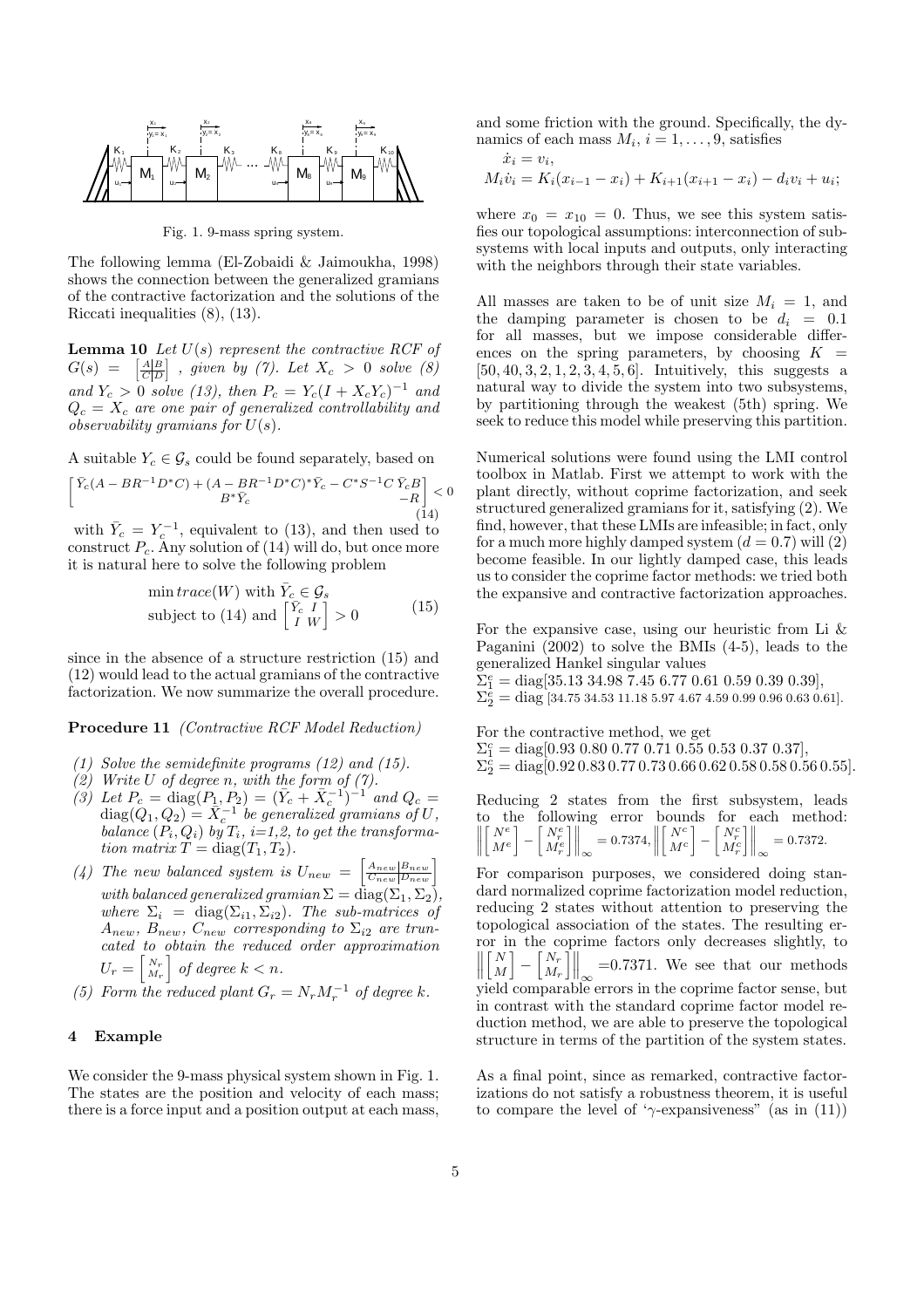

Fig. 1. 9-mass spring system.

The following lemma (El-Zobaidi & Jaimoukha, 1998) shows the connection between the generalized gramians of the contractive factorization and the solutions of the Riccati inequalities (8), (13).

**Lemma 10** Let  $U(s)$  represent the contractive RCF of  $G(s) = \left[\frac{A|B}{C|D}\right]$  $\bigg|$ , given by (7). Let  $X_c > 0$  solve (8) and  $Y_c > 0$  solve (13), then  $P_c = Y_c (I + X_c Y_c)^{-1}$  and  $Q_c = X_c$  are one pair of generalized controllability and observability gramians for  $U(s)$ .

A suitable  $Y_c \in \mathcal{G}_s$  could be found separately, based on

$$
\begin{bmatrix} \bar{Y}_c (A - BR^{-1}D^*C) + (A - BR^{-1}D^*C)^* \bar{Y}_c - C^*S^{-1}C \ \bar{Y}_c B \\ B^* \bar{Y}_c & -R \end{bmatrix} < 0
$$
\n(14)

with  $\bar{Y}_c = Y_c^{-1}$ , equivalent to (13), and then used to construct  $P_c$ . Any solution of  $(14)$  will do, but once more it is natural here to solve the following problem

$$
\min\,trace(W)\text{ with }\bar{Y}_c \in \mathcal{G}_s
$$
\n
$$
\text{subject to (14) and }\begin{bmatrix}\bar{Y}_c & I\\I & W\end{bmatrix} > 0
$$
\n
$$
(15)
$$

since in the absence of a structure restriction (15) and (12) would lead to the actual gramians of the contractive factorization. We now summarize the overall procedure.

Procedure 11 (Contractive RCF Model Reduction)

- (1) Solve the semidefinite programs (12) and (15).
- $\hat{P}(2)$  Write U of degree n, with the form of  $(\gamma)$ .
- (3) Let  $P_c = \text{diag}(P_1, P_2) = (\bar{Y}_c + \bar{X}_c^{-1})^{-1}$  and  $Q_c =$  $diag(Q_1, Q_2) = \overline{\hat{X}_c}^{-1}$  be generalized gramians of U, balance  $(P_i, Q_i)$  by  $T_i$ , i=1,2, to get the transformation matrix  $T = diag(T_1, T_2)$ .
- (4) The new balanced system is  $U_{new} =$  $\left\lceil \frac{A_{new} | B_{new}}{C_{new} | D_{new}} \right\rceil$ with balanced generalized gramian  $\Sigma = \text{diag}(\Sigma_1, \Sigma_2)$ , where  $\Sigma_i = \text{diag}(\Sigma_{i1}, \Sigma_{i2})$ . The sub-matrices of  $A_{new}, B_{new}, C_{new}$  corresponding to  $\Sigma_{i2}$  are truncated to obtain the reduced order approximation  $U_r = \begin{bmatrix} N_r \\ M_r \end{bmatrix}$  of degree  $k < n$ .
- (5) Form the reduced plant  $G_r = N_r M_r^{-1}$  of degree k.

## 4 Example

We consider the 9-mass physical system shown in Fig. 1. The states are the position and velocity of each mass; there is a force input and a position output at each mass, and some friction with the ground. Specifically, the dynamics of each mass  $M_i$ ,  $i = 1, \ldots, 9$ , satisfies

$$
\dot{x}_i = v_i,
$$
  
\n
$$
M_i \dot{v}_i = K_i (x_{i-1} - x_i) + K_{i+1} (x_{i+1} - x_i) - d_i v_i + u_i;
$$

where  $x_0 = x_{10} = 0$ . Thus, we see this system satisfies our topological assumptions: interconnection of subsystems with local inputs and outputs, only interacting with the neighbors through their state variables.

All masses are taken to be of unit size  $M_i = 1$ , and the damping parameter is chosen to be  $d_i = 0.1$ for all masses, but we impose considerable differences on the spring parameters, by choosing  $K =$ [50, 40, 3, 2, 1, 2, 3, 4, 5, 6]. Intuitively, this suggests a natural way to divide the system into two subsystems, by partitioning through the weakest (5th) spring. We seek to reduce this model while preserving this partition.

Numerical solutions were found using the LMI control toolbox in Matlab. First we attempt to work with the plant directly, without coprime factorization, and seek structured generalized gramians for it, satisfying (2). We find, however, that these LMIs are infeasible; in fact, only for a much more highly damped system  $(d = 0.7)$  will  $(2)$ become feasible. In our lightly damped case, this leads us to consider the coprime factor methods: we tried both the expansive and contractive factorization approaches.

For the expansive case, using our heuristic from Li  $\&$ Paganini (2002) to solve the BMIs (4-5), leads to the generalized Hankel singular values

 $\Sigma_1^e = \text{diag}[35.13\ 34.98\ 7.45\ 6.77\ 0.61\ 0.59\ 0.39\ 0.39],$  $\Sigma_2^{\overline{e}} = \text{diag}$  [34.75 34.53 11.18 5.97 4.67 4.59 0.99 0.96 0.63 0.61].

For the contractive method, we get  $\Sigma_1^c = \text{diag}[0.93\ 0.80\ 0.77\ 0.71\ 0.55\ 0.53\ 0.37\ 0.37],$  $\Sigma^{\tilde{c}}_2 = \text{diag}[0.92\,0.83\,0.77\,0.73\,0.66\,0.62\,0.58\,0.58\,0.56\,0.55].$ 

Reducing 2 states from the first subsystem, leads to the following error bounds for each method:<br>  $\left\| \begin{bmatrix} N^e \\ M^e \end{bmatrix} - \begin{bmatrix} N^e \\ M^e \end{bmatrix} \right\| = 0.7374, \left\| \begin{bmatrix} N^c \\ M^c \end{bmatrix} - \begin{bmatrix} N^c \\ M^c \end{bmatrix} \right\| = 0.7372.$  $\frac{0}{\lceil}$   $N^e$  $M^e$ ⊥t<br>¬ −  $\begin{bmatrix} N_r^e \ N_r^e \ M_r^e \end{bmatrix}$ wing error<br> $\left|\right|_{\infty} = 0.7374,$  $\begin{array}{c} \n\downarrow \\ \n\downarrow \n\end{array}$ our<br>∫ N°  $M^c$ u<br>¬ −  $\begin{bmatrix} N_r^c \ N_r^c \ M_r^c \end{bmatrix}$  $\begin{bmatrix} \cos \theta & \sin \theta \\ \cos \theta & \cos \theta \end{bmatrix}$  = 0.7372.

For comparison purposes, we considered doing standard normalized coprime factorization model reduction, reducing 2 states without attention to preserving the topological association of the states. The resulting error in the coprime factors only decreases slightly, to  $\prod_{M} N$ M − ie c $\lceil N_r \rceil$  $M_r$ prır.<br>]∥<br>⊥ll∞ =0.7371. We see that our methods yield comparable errors in the coprime factor sense, but in contrast with the standard coprime factor model reduction method, we are able to preserve the topological structure in terms of the partition of the system states.

As a final point, since as remarked, contractive factorizations do not satisfy a robustness theorem, it is useful to compare the level of ' $\gamma$ -expansiveness" (as in (11))